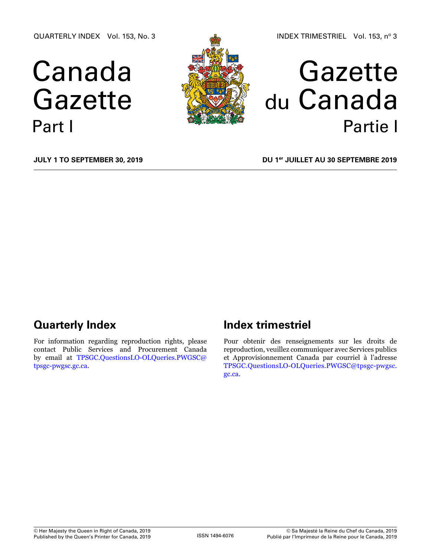QUARTERLY INDEX Vol. 153, No. 3

# Canada Gazette Part I



## Gazette du Canada Partie I

**July 1 to September 30, 2019**

**DU 1er juillet au 30 septembre 2019**

## **Quarterly Index**

For information regarding reproduction rights, please contact Public Services and Procurement Canada by email at [TPSGC.QuestionsLO-OLQueries.PWGSC@](mailto:TPSGC.QuestionsLO-OLQueries.PWGSC%40tpsgc-pwgsc.gc.ca?subject=) [tpsgc-pwgsc.gc.ca](mailto:TPSGC.QuestionsLO-OLQueries.PWGSC%40tpsgc-pwgsc.gc.ca?subject=).

## **Index trimestriel**

Pour obtenir des renseignements sur les droits de reproduction, veuillez communiquer avec Services publics et Approvisionnement Canada par courriel à l'adresse [TPSGC.QuestionsLO-OLQueries.PWGSC@tpsgc-pwgsc.](mailto:TPSGC.QuestionsLO-OLQueries.PWGSC%40tpsgc-pwgsc.gc.ca?subject=) [gc.ca](mailto:TPSGC.QuestionsLO-OLQueries.PWGSC%40tpsgc-pwgsc.gc.ca?subject=).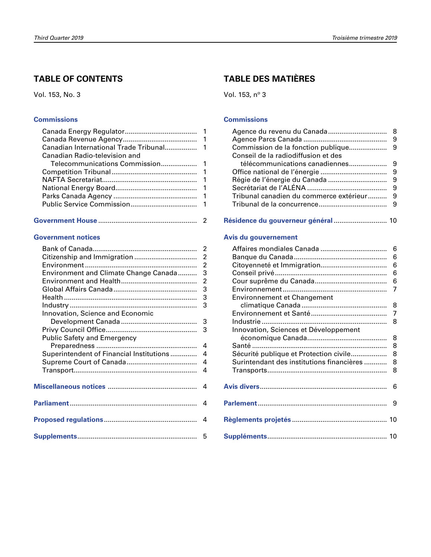### **TABLE OF CONTENTS**

Vol. 153, No. 3

#### **[Commissions](#page-2-0)**

| Canadian Radio-television and |  |
|-------------------------------|--|
|                               |  |
|                               |  |
|                               |  |
|                               |  |
|                               |  |
|                               |  |
|                               |  |

|--|--|

#### **[Government notices](#page-3-0)**

| Environment and Climate Change Canada 3    |  |
|--------------------------------------------|--|
|                                            |  |
|                                            |  |
|                                            |  |
|                                            |  |
| Innovation, Science and Economic           |  |
|                                            |  |
|                                            |  |
| <b>Public Safety and Emergency</b>         |  |
|                                            |  |
| Superintendent of Financial Institutions 4 |  |
|                                            |  |
|                                            |  |
|                                            |  |
|                                            |  |
|                                            |  |
|                                            |  |
|                                            |  |
|                                            |  |
|                                            |  |
|                                            |  |

### **TABLE DES MATIÈRES**

Vol. 153, nº 3

#### **[Commissions](#page-9-0)**

| Conseil de la radiodiffusion et des |  |
|-------------------------------------|--|
|                                     |  |
|                                     |  |
|                                     |  |
|                                     |  |
|                                     |  |
|                                     |  |
|                                     |  |

#### **[Résidence du gouverneur général](#page-11-0)** ............................ 10

#### **[Avis du gouvernement](#page-7-0)**

|                                           | 6 |
|-------------------------------------------|---|
|                                           | 6 |
|                                           | 6 |
|                                           | 6 |
|                                           | 6 |
|                                           | 7 |
| <b>Environnement et Changement</b>        |   |
|                                           | 8 |
|                                           | 7 |
|                                           | 8 |
| Innovation, Sciences et Développement     |   |
|                                           | 8 |
|                                           | 8 |
| Sécurité publique et Protection civile    | 8 |
| Surintendant des institutions financières | 8 |
|                                           | 8 |
|                                           |   |
|                                           | 6 |
|                                           |   |
|                                           | 9 |
|                                           |   |
|                                           |   |
|                                           |   |
|                                           |   |
|                                           |   |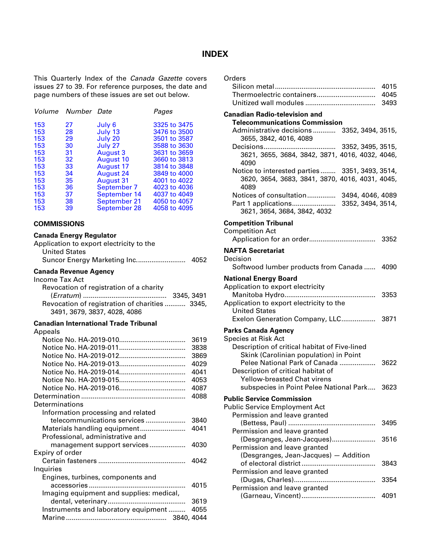#### **INDEX**

<span id="page-2-0"></span>This Quarterly Index of the *Canada Gazette* covers issues 27 to 39. For reference purposes, the date and page numbers of these issues are set out below.

|     | Volume Number Date |                  | Pages        |
|-----|--------------------|------------------|--------------|
| 153 | 27                 | July 6           | 3325 to 3475 |
| 153 | 28                 | July 13          | 3476 to 3500 |
| 153 | 29                 | July 20          | 3501 to 3587 |
| 153 | 30                 | July 27          | 3588 to 3630 |
| 153 | 31                 | <b>August 3</b>  | 3631 to 3659 |
| 153 | 32                 | <b>August 10</b> | 3660 to 3813 |
| 153 | 33                 | <b>August 17</b> | 3814 to 3848 |
| 153 | 34                 | August 24        | 3849 to 4000 |
| 153 | 35                 | <b>August 31</b> | 4001 to 4022 |
| 153 | 36                 | September 7      | 4023 to 4036 |
| 153 | 37                 | September 14     | 4037 to 4049 |
| 153 | 38                 | September 21     | 4050 to 4057 |
| 153 | 39                 | September 28     | 4058 to 4095 |

#### **COMMISSIONS**

#### **Canada Energy Regulator**

| Application to export electricity to the |      |
|------------------------------------------|------|
| <b>United States</b>                     |      |
|                                          | 4052 |

#### **Canada Revenue Agency**

| Income Tax Act                                 |  |
|------------------------------------------------|--|
| Revocation of registration of a charity        |  |
|                                                |  |
| Revocation of registration of charities  3345, |  |
| 3491, 3679, 3837, 4028, 4086                   |  |
|                                                |  |

#### **Canadian International Trade Tribunal**

#### **Anneals**

| Appeais                                  |      |
|------------------------------------------|------|
|                                          | 3619 |
|                                          | 3838 |
|                                          | 3869 |
|                                          | 4029 |
|                                          | 4041 |
|                                          | 4053 |
|                                          | 4087 |
|                                          | 4088 |
| Determinations                           |      |
| Information processing and related       |      |
| telecommunications services              | 3840 |
|                                          | 4041 |
| Professional, administrative and         |      |
| management support services              | 4030 |
| Expiry of order                          |      |
|                                          | 4042 |
| Inquiries                                |      |
| Engines, turbines, components and        |      |
|                                          | 4015 |
| Imaging equipment and supplies: medical, |      |
|                                          | 3619 |
| Instruments and laboratory equipment     | 4055 |
|                                          |      |

| ←. |
|----|
|----|

#### **Canadian Radio-television and**

| <b>Telecommunications Commission</b>                                          |      |
|-------------------------------------------------------------------------------|------|
| Administrative decisions 3352, 3494, 3515,                                    |      |
| 3655, 3842, 4016, 4089                                                        |      |
|                                                                               |      |
| 3621, 3655, 3684, 3842, 3871, 4016, 4032, 4046,<br>4090                       |      |
| Notice to interested parties  3351, 3493, 3514,                               |      |
| 3620, 3654, 3683, 3841, 3870, 4016, 4031, 4045,<br>4089                       |      |
| Notices of consultation 3494, 4046, 4089                                      |      |
| 3621, 3654, 3684, 3842, 4032                                                  |      |
| <b>Competition Tribunal</b>                                                   |      |
| <b>Competition Act</b>                                                        |      |
|                                                                               |      |
| <b>NAFTA Secretariat</b>                                                      |      |
| Decision<br>Softwood lumber products from Canada  4090                        |      |
|                                                                               |      |
| <b>National Energy Board</b>                                                  |      |
| Application to export electricity                                             | 3353 |
| Application to export electricity to the                                      |      |
| <b>United States</b>                                                          |      |
| Exelon Generation Company, LLC 3871                                           |      |
| <b>Parks Canada Agency</b>                                                    |      |
| <b>Species at Risk Act</b>                                                    |      |
| Description of critical habitat of Five-lined                                 |      |
| Skink (Carolinian population) in Point<br>Pelee National Park of Canada  3622 |      |
| Description of critical habitat of                                            |      |
| Yellow-breasted Chat virens                                                   |      |
| subspecies in Point Pelee National Park 3623                                  |      |
| <b>Public Service Commission</b>                                              |      |
| <b>Public Service Employment Act</b>                                          |      |
| Permission and leave granted                                                  |      |
|                                                                               | 3495 |
| Permission and leave granted<br>(Desgranges, Jean-Jacques)                    | 3516 |
| Permission and leave granted                                                  |      |
| (Desgranges, Jean-Jacques) - Addition                                         |      |
|                                                                               | 3843 |
| Permission and leave granted                                                  | 3354 |
| Permission and leave granted                                                  |      |
|                                                                               | 4091 |
|                                                                               |      |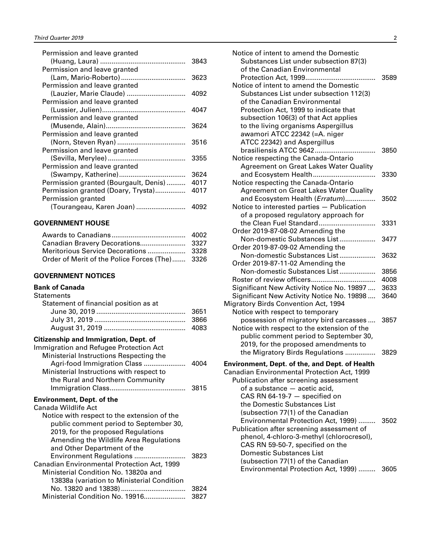<span id="page-3-0"></span>

| Permission and leave granted          |      |
|---------------------------------------|------|
|                                       | 3843 |
| Permission and leave granted          |      |
|                                       | 3623 |
| Permission and leave granted          |      |
| (Lauzier, Marie Claude)               | 4092 |
| Permission and leave granted          |      |
|                                       | 4047 |
| Permission and leave granted          |      |
|                                       | 3624 |
| Permission and leave granted          |      |
|                                       | 3516 |
| Permission and leave granted          |      |
|                                       | 3355 |
| Permission and leave granted          |      |
|                                       | 3624 |
| Permission granted (Bourgault, Denis) | 4017 |
| Permission granted (Doary, Trysta)    | 4017 |
| Permission granted                    |      |
| (Tourangeau, Karen Joan)              | 4092 |
|                                       |      |

#### **GOVERNMENT HOUSE**

| Order of Merit of the Police Forces (The) 3326 |  |
|------------------------------------------------|--|

#### **GOVERNMENT NOTICES**

#### **Bank of Canada**

#### **Statements**

| Statement of financial position as at |  |
|---------------------------------------|--|
|                                       |  |
|                                       |  |
|                                       |  |
|                                       |  |

#### **Citizenship and Immigration, Dept. of**

| Immigration and Refugee Protection Act   |      |
|------------------------------------------|------|
| Ministerial Instructions Respecting the  |      |
| Agri-food Immigration Class              | 4004 |
| Ministerial Instructions with respect to |      |
| the Rural and Northern Community         |      |
|                                          | 3815 |

#### **Environment, Dept. of the**

| Canada Wildlife Act                         |      |
|---------------------------------------------|------|
| Notice with respect to the extension of the |      |
| public comment period to September 30,      |      |
| 2019, for the proposed Regulations          |      |
| Amending the Wildlife Area Regulations      |      |
| and Other Department of the                 |      |
| Environment Regulations                     | 3823 |
| Canadian Environmental Protection Act, 1999 |      |
| Ministerial Condition No. 13820a and        |      |
| 13838a (variation to Ministerial Condition  |      |
|                                             | 3824 |
| Ministerial Condition No. 19916             | 3827 |
|                                             |      |

| Notice of intent to amend the Domestic<br>Substances List under subsection 87(3)<br>of the Canadian Environmental                                                                                                                                                                                              | 3589         |
|----------------------------------------------------------------------------------------------------------------------------------------------------------------------------------------------------------------------------------------------------------------------------------------------------------------|--------------|
| Notice of intent to amend the Domestic<br>Substances List under subsection 112(3)<br>of the Canadian Environmental<br>Protection Act, 1999 to indicate that<br>subsection 106(3) of that Act applies<br>to the living organisms Aspergillus<br>awamori ATCC 22342 (=A. niger                                   |              |
| ATCC 22342) and Aspergillus<br>brasiliensis ATCC 9642<br>Notice respecting the Canada-Ontario<br>Agreement on Great Lakes Water Quality                                                                                                                                                                        | 3850         |
| and Ecosystem Health<br>Notice respecting the Canada-Ontario<br>Agreement on Great Lakes Water Quality                                                                                                                                                                                                         | 3330         |
| and Ecosystem Health (Erratum)<br>Notice to interested parties - Publication<br>of a proposed regulatory approach for                                                                                                                                                                                          | 3502         |
| the Clean Fuel Standard<br>Order 2019-87-08-02 Amending the                                                                                                                                                                                                                                                    | 3331         |
| Non-domestic Substances List<br>Order 2019-87-09-02 Amending the                                                                                                                                                                                                                                               | 3477         |
| Non-domestic Substances List<br>Order 2019-87-11-02 Amending the                                                                                                                                                                                                                                               | 3632         |
| Non-domestic Substances List                                                                                                                                                                                                                                                                                   | 3856         |
|                                                                                                                                                                                                                                                                                                                | 4008         |
| Significant New Activity Notice No. 19897                                                                                                                                                                                                                                                                      | 3633         |
| Significant New Activity Notice No. 19898<br>Migratory Birds Convention Act, 1994<br>Notice with respect to temporary                                                                                                                                                                                          | 3640         |
| possession of migratory bird carcasses<br>Notice with respect to the extension of the<br>public comment period to September 30,<br>2019, for the proposed amendments to<br>the Migratory Birds Regulations                                                                                                     | 3857<br>3829 |
| Environment, Dept. of the, and Dept. of Health<br>Canadian Environmental Protection Act, 1999<br>Publication after screening assessment<br>of a substance - acetic acid,<br>CAS RN 64-19-7 - specified on                                                                                                      |              |
| the Domestic Substances List<br>(subsection 77(1) of the Canadian<br>Environmental Protection Act, 1999)<br>Publication after screening assessment of<br>phenol, 4-chloro-3-methyl (chlorocresol),<br>CAS RN 59-50-7, specified on the<br><b>Domestic Substances List</b><br>(subsection 77(1) of the Canadian | 3502         |
| Environmental Protection Act, 1999)  3605                                                                                                                                                                                                                                                                      |              |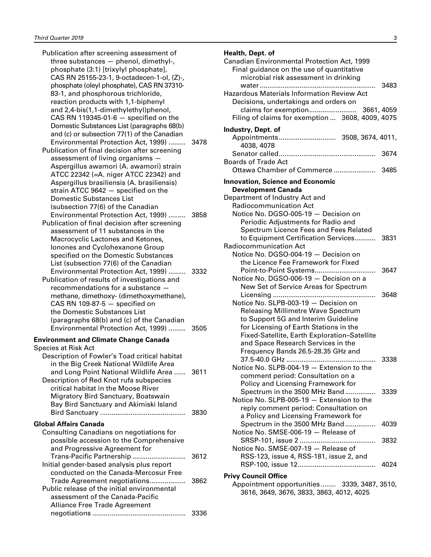| Publication after screening assessment of<br>three substances - phenol, dimethyl-,<br>phosphate (3:1) [trixylyl phosphate],<br>CAS RN 25155-23-1, 9-octadecen-1-ol, (Z)-,<br>phosphate (oleyl phosphate), CAS RN 37310-<br>83-1, and phosphorous trichloride,<br>reaction products with 1,1-biphenyl<br>and 2,4-bis(1,1-dimethylethyl)phenol,                                                                                                                                |              |
|------------------------------------------------------------------------------------------------------------------------------------------------------------------------------------------------------------------------------------------------------------------------------------------------------------------------------------------------------------------------------------------------------------------------------------------------------------------------------|--------------|
| CAS RN 119345-01-6 $-$ specified on the<br>Domestic Substances List (paragraphs 68(b)<br>and (c) or subsection 77(1) of the Canadian<br>Environmental Protection Act, 1999)<br>Publication of final decision after screening<br>assessment of living organisms ·<br>Aspergillus awamori (A. awamori) strain<br>ATCC 22342 (=A. niger ATCC 22342) and<br>Aspergillus brasiliensis (A. brasiliensis)<br>strain ATCC 9642 - specified on the<br><b>Domestic Substances List</b> | 3478         |
| (subsection 77(6) of the Canadian<br>Environmental Protection Act, 1999)<br>Publication of final decision after screening<br>assessment of 11 substances in the<br>Macrocyclic Lactones and Ketones,                                                                                                                                                                                                                                                                         | 3858         |
| Ionones and Cyclohexanone Group<br>specified on the Domestic Substances<br>List (subsection 77(6) of the Canadian<br>Environmental Protection Act, 1999)<br>.<br>Publication of results of investigations and<br>recommendations for a substance -<br>methane, dimethoxy- (dimethoxymethane),<br>CAS RN 109-87-5 $-$ specified on                                                                                                                                            | 3332         |
| the Domestic Substances List<br>(paragraphs 68(b) and (c) of the Canadian<br>Environmental Protection Act, 1999)                                                                                                                                                                                                                                                                                                                                                             | 3505         |
| <b>Environment and Climate Change Canada</b>                                                                                                                                                                                                                                                                                                                                                                                                                                 |              |
| <b>Species at Risk Act</b><br>Description of Fowler's Toad critical habitat<br>in the Big Creek National Wildlife Area<br>and Long Point National Wildlife Area<br>Description of Red Knot rufa subspecies<br>critical habitat in the Moose River<br>Migratory Bird Sanctuary, Boatswain<br>Bay Bird Sanctuary and Akimiski Island                                                                                                                                           | 3611<br>3830 |
| <b>Global Affairs Canada</b>                                                                                                                                                                                                                                                                                                                                                                                                                                                 |              |
| Consulting Canadians on negotiations for<br>possible accession to the Comprehensive<br>and Progressive Agreement for                                                                                                                                                                                                                                                                                                                                                         |              |
| Trans-Pacific Partnership<br>Initial gender-based analysis plus report<br>conducted on the Canada-Mercosur Free                                                                                                                                                                                                                                                                                                                                                              | 3612         |
| Trade Agreement negotiations<br>Public release of the initial environmental<br>assessment of the Canada-Pacific<br><b>Alliance Free Trade Agreement</b>                                                                                                                                                                                                                                                                                                                      | 3862         |
|                                                                                                                                                                                                                                                                                                                                                                                                                                                                              | 3336         |

## **Health, Dept. of**

| Canadian Environmental Protection Act, 1999<br>Final guidance on the use of quantitative<br>microbial risk assessment in drinking |      |
|-----------------------------------------------------------------------------------------------------------------------------------|------|
| Hazardous Materials Information Review Act<br>Decisions, undertakings and orders on                                               | 3483 |
| Filing of claims for exemption  3608, 4009, 4075                                                                                  |      |
| Industry, Dept. of                                                                                                                |      |
| 4038, 4078                                                                                                                        |      |
| <b>Boards of Trade Act</b>                                                                                                        | 3674 |
| Ottawa Chamber of Commerce  3485                                                                                                  |      |
| <b>Innovation, Science and Economic</b>                                                                                           |      |
| <b>Development Canada</b>                                                                                                         |      |
| Department of Industry Act and                                                                                                    |      |
| Radiocommunication Act<br>Notice No. DGSO-005-19 - Decision on                                                                    |      |
| Periodic Adjustments for Radio and                                                                                                |      |
| Spectrum Licence Fees and Fees Related                                                                                            |      |
| to Equipment Certification Services 3831                                                                                          |      |
| Radiocommunication Act                                                                                                            |      |
| Notice No. DGSO-004-19 - Decision on                                                                                              |      |
| the Licence Fee Framework for Fixed                                                                                               |      |
| Point-to-Point Systems                                                                                                            | 3647 |
| Notice No. DGSO-006-19 - Decision on a                                                                                            |      |
| New Set of Service Areas for Spectrum                                                                                             |      |
|                                                                                                                                   | 3648 |
| Notice No. SLPB-003-19 - Decision on                                                                                              |      |
| <b>Releasing Millimetre Wave Spectrum</b><br>to Support 5G and Interim Guideline                                                  |      |
| for Licensing of Earth Stations in the                                                                                            |      |
| Fixed-Satellite, Earth Exploration-Satellite                                                                                      |      |
| and Space Research Services in the                                                                                                |      |
| Frequency Bands 26.5-28.35 GHz and                                                                                                |      |
|                                                                                                                                   | 3338 |
| Notice No. SLPB-004-19 - Extension to the                                                                                         |      |
| comment period: Consultation on a                                                                                                 |      |
| Policy and Licensing Framework for                                                                                                |      |
| Spectrum in the 3500 MHz Band                                                                                                     | 3339 |
| Notice No. SLPB-005-19 - Extension to the                                                                                         |      |
| reply comment period: Consultation on<br>a Policy and Licensing Framework for                                                     |      |
| Spectrum in the 3500 MHz Band                                                                                                     | 4039 |
| Notice No. SMSE-006-19 - Release of                                                                                               |      |
|                                                                                                                                   | 3832 |
| Notice No. SMSE-007-19 - Release of                                                                                               |      |
| RSS-123, issue 4, RSS-181, issue 2, and                                                                                           |      |
|                                                                                                                                   | 4024 |
| <b>Privy Council Office</b>                                                                                                       |      |
| Appointment opportunities 3339, 3487, 3510,                                                                                       |      |

3616, 3649, 3676, 3833, 3863, 4012, 4025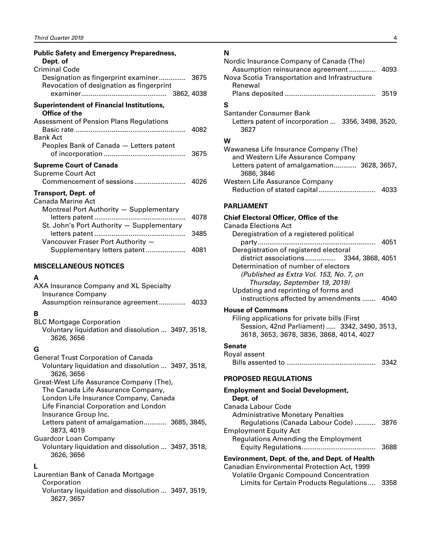<span id="page-5-0"></span>

| <b>Public Safety and Emergency Preparedness,</b><br>Dept. of<br><b>Criminal Code</b> |      |
|--------------------------------------------------------------------------------------|------|
| Designation as fingerprint examiner 3675<br>Revocation of designation as fingerprint |      |
| <b>Superintendent of Financial Institutions,</b><br>Office of the                    |      |
| <b>Assessment of Pension Plans Regulations</b><br><b>Bank Act</b>                    | 4082 |
| Peoples Bank of Canada - Letters patent                                              |      |
| <b>Supreme Court of Canada</b><br>Supreme Court Act                                  |      |
| Transport, Dept. of<br>Canada Marine Act<br>Montreal Port Authority - Supplementary  |      |
| St. John's Port Authority - Supplementary                                            | 4078 |
| Vancouver Fraser Port Authority -                                                    | 3485 |
| Supplementary letters patent                                                         | 4081 |

#### **MISCELLANEOUS NOTICES**

#### **A**

| AXA Insurance Company and XL Specialty |      |
|----------------------------------------|------|
| Insurance Company                      |      |
| Assumption reinsurance agreement       | 4033 |

#### **B**

| BLC Mortgage Corporation                           |  |
|----------------------------------------------------|--|
| Voluntary liquidation and dissolution  3497, 3518, |  |
| 3626, 3656                                         |  |

#### **G**

| <b>General Trust Corporation of Canada</b>                                                        |  |
|---------------------------------------------------------------------------------------------------|--|
| Voluntary liquidation and dissolution  3497, 3518,                                                |  |
| 3626, 3656                                                                                        |  |
| $C$ <sub>reat</sub> $M$ <sub>cat</sub> $\colon$ : fe $A$ esurence $C$ emensu $\colon$ $(T_{b_2})$ |  |

Great-West Life Assurance Company (The), The Canada Life Assurance Company, London Life Insurance Company, Canada Life Financial Corporation and London Insurance Group Inc. Letters patent of amalgamation............ 3685, 3845, 3873, 4019 Guardcor Loan Company

| Voluntary liquidation and dissolution  3497, 3518, |  |
|----------------------------------------------------|--|
| 3626, 3656                                         |  |

#### **L**

| Laurentian Bank of Canada Mortgage                 |  |
|----------------------------------------------------|--|
| Corporation                                        |  |
| Voluntary liquidation and dissolution  3497, 3519, |  |
| 3627, 3657                                         |  |

#### **N**

| Nordic Insurance Company of Canada (The)<br>Assumption reinsurance agreement<br>Nova Scotia Transportation and Infrastructure<br>Renewal | 4093 |
|------------------------------------------------------------------------------------------------------------------------------------------|------|
|                                                                                                                                          | 3519 |
| S                                                                                                                                        |      |
| Santander Consumer Bank<br>Letters patent of incorporation  3356, 3498, 3520,<br>3627                                                    |      |
| w                                                                                                                                        |      |
| Wawanesa Life Insurance Company (The)<br>and Western Life Assurance Company<br>Letters patent of amalgamation 3628, 3657,<br>3686, 3846  |      |
| <b>Western Life Assurance Company</b>                                                                                                    | 4033 |

#### **PARLIAMENT**

#### **Chief Electoral Officer, Office of the**

| Canada Elections Act                     |      |
|------------------------------------------|------|
| Deregistration of a registered political |      |
|                                          | 4051 |
| Deregistration of registered electoral   |      |
| district associations 3344, 3868, 4051   |      |
| Determination of number of electors      |      |
| (Published as Extra Vol. 153, No. 7, on  |      |
| Thursday, September 19, 2019)            |      |
| Updating and reprinting of forms and     |      |
| instructions affected by amendments      |      |
|                                          |      |

#### **House of Commons**

Filing applications for private bills (First Session, 42nd Parliament) ..... 3342, 3490, 3513, 3618, 3653, 3678, 3836, 3868, 4014, 4027

#### **Senate**

| Royal assent |      |
|--------------|------|
|              | 3342 |

#### **PROPOSED REGULATIONS**

| <b>Employment and Social Development,</b>                                                     |      |
|-----------------------------------------------------------------------------------------------|------|
| Dept. of                                                                                      |      |
| Canada Labour Code                                                                            |      |
| <b>Administrative Monetary Penalties</b>                                                      |      |
| Regulations (Canada Labour Code)                                                              | 3876 |
| <b>Employment Equity Act</b>                                                                  |      |
| <b>Regulations Amending the Employment</b>                                                    |      |
|                                                                                               | 3688 |
| Environment, Dept. of the, and Dept. of Health                                                |      |
| Canadian Environmental Protection Act, 1999<br><b>Volatile Organic Compound Concentration</b> |      |

Limits for Certain Products Regulations .... 3358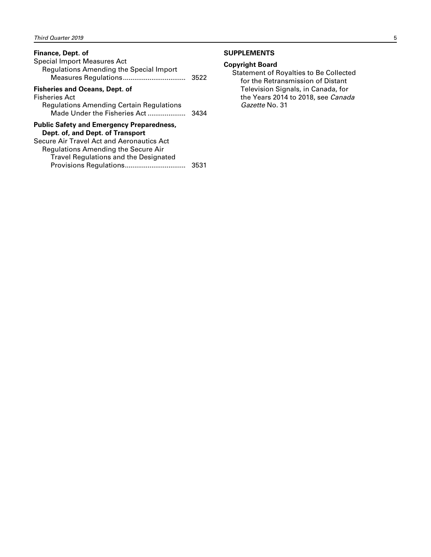#### <span id="page-6-0"></span>**Finance, Dept. of**

| <b>Special Import Measures Act</b><br>Regulations Amending the Special Import                                                                                                                                     | 3522 |
|-------------------------------------------------------------------------------------------------------------------------------------------------------------------------------------------------------------------|------|
| <b>Fisheries and Oceans, Dept. of</b><br><b>Fisheries Act</b><br>Regulations Amending Certain Regulations<br>Made Under the Fisheries Act                                                                         | 3434 |
| <b>Public Safety and Emergency Preparedness,</b><br>Dept. of, and Dept. of Transport<br>Secure Air Travel Act and Aeronautics Act<br>Regulations Amending the Secure Air<br>Travel Regulations and the Designated |      |

Provisions Regulations................................ 3531

#### **SUPPLEMENTS**

#### **Copyright Board**

Statement of Royalties to Be Collected for the Retransmission of Distant Television Signals, in Canada, for the Years 2014 to 2018, see *Canada Gazette* No. 31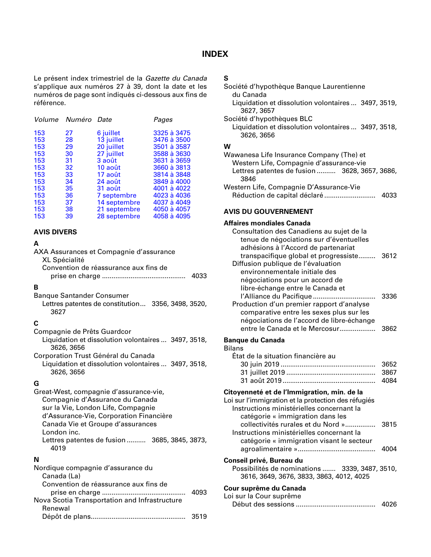#### **INDEX**

<span id="page-7-0"></span>Le présent index trimestriel de la *Gazette du Canada* s'applique aux numéros 27 à 39, dont la date et les numéros de page sont indiqués ci-dessous aux fins de référence.

|     | Volume Numéro Date |              | Pages       |
|-----|--------------------|--------------|-------------|
| 153 | 27                 | 6 juillet    | 3325 à 3475 |
| 153 | 28                 | 13 juillet   | 3476 à 3500 |
| 153 | 29                 | 20 juillet   | 3501 à 3587 |
| 153 | 30                 | 27 juillet   | 3588 à 3630 |
| 153 | 31                 | 3 août       | 3631 à 3659 |
| 153 | 32                 | 10 août      | 3660 à 3813 |
| 153 | 33                 | 17 août      | 3814 à 3848 |
| 153 | 34                 | 24 août      | 3849 à 4000 |
| 153 | 35                 | 31 août      | 4001 à 4022 |
| 153 | 36                 | 7 septembre  | 4023 à 4036 |
| 153 | 37                 | 14 septembre | 4037 à 4049 |
| 153 | 38                 | 21 septembre | 4050 à 4057 |
| 153 | 39                 | 28 septembre | 4058 à 4095 |

#### **AVIS DIVERS**

#### **A**

| AXA Assurances et Compagnie d'assurance<br><b>XL Spécialité</b>                                                                                                                                                                                                              |
|------------------------------------------------------------------------------------------------------------------------------------------------------------------------------------------------------------------------------------------------------------------------------|
| Convention de réassurance aux fins de                                                                                                                                                                                                                                        |
| B<br><b>Banque Santander Consumer</b><br>Lettres patentes de constitution 3356, 3498, 3520,<br>3627                                                                                                                                                                          |
| C                                                                                                                                                                                                                                                                            |
| Compagnie de Prêts Guardcor<br>Liquidation et dissolution volontaires  3497, 3518,<br>3626, 3656                                                                                                                                                                             |
| Corporation Trust Général du Canada<br>Liquidation et dissolution volontaires  3497, 3518,<br>3626, 3656                                                                                                                                                                     |
| G<br>Great-West, compagnie d'assurance-vie,<br>Compagnie d'Assurance du Canada<br>sur la Vie, London Life, Compagnie<br>d'Assurance-Vie, Corporation Financière<br>Canada Vie et Groupe d'assurances<br>London inc.<br>Lettres patentes de fusion  3685, 3845, 3873,<br>4019 |
| N<br>Nordique compagnie d'assurance du<br>Canada (La)<br>Convention de réassurance aux fins de                                                                                                                                                                               |

| 4093 |
|------|
|      |
|      |
| 3519 |
|      |

#### **S**

| Société d'hypothèque Banque Laurentienne<br>du Canada                                                                                       |
|---------------------------------------------------------------------------------------------------------------------------------------------|
| Liquidation et dissolution volontaires  3497, 3519,<br>3627, 3657                                                                           |
| Société d'hypothèques BLC                                                                                                                   |
| Liquidation et dissolution volontaires  3497, 3518,<br>3626, 3656                                                                           |
| w                                                                                                                                           |
| Wawanesa Life Insurance Company (The) et<br>Western Life, Compagnie d'assurance-vie<br>Lettres patentes de fusion 3628, 3657, 3686,<br>3846 |
| Western Life, Compagnie D'Assurance-Vie<br>4033                                                                                             |
| AVIS DU GOUVERNEMENT                                                                                                                        |
| Affaires mondiales Canada                                                                                                                   |

| Consultation des Canadiens au sujet de la |      |
|-------------------------------------------|------|
| tenue de négociations sur d'éventuelles   |      |
| adhésions à l'Accord de partenariat       |      |
| transpacifique global et progressiste     | 3612 |
| Diffusion publique de l'évaluation        |      |
| environnementale initiale des             |      |
| négociations pour un accord de            |      |
| libre-échange entre le Canada et          |      |
| l'Alliance du Pacifique                   | 3336 |
| Production d'un premier rapport d'analyse |      |
| comparative entre les sexes plus sur les  |      |
| négociations de l'accord de libre-échange |      |
| entre le Canada et le Mercosur            |      |

#### **Banque du Canada**

#### **Bilans**

| État de la situation financière au |  |
|------------------------------------|--|
|                                    |  |
|                                    |  |
|                                    |  |

#### **Citoyenneté et de l'Immigration, min. de la**

| Loi sur l'immigration et la protection des réfugiés                        |      |
|----------------------------------------------------------------------------|------|
| Instructions ministérielles concernant la                                  |      |
| catégorie « immigration dans les                                           |      |
| collectivités rurales et du Nord »                                         | 3815 |
| Instructions ministérielles concernant la                                  |      |
| catégorie « immigration visant le secteur                                  |      |
|                                                                            | 4004 |
| Conseil privé, Bureau du<br>Possibilités de nominations  3339, 3487, 3510, |      |
| 3616, 3649, 3676, 3833, 3863, 4012, 4025                                   |      |
| Cour suprême du Canada                                                     |      |
| Loi sur la Cour suprême                                                    |      |
|                                                                            |      |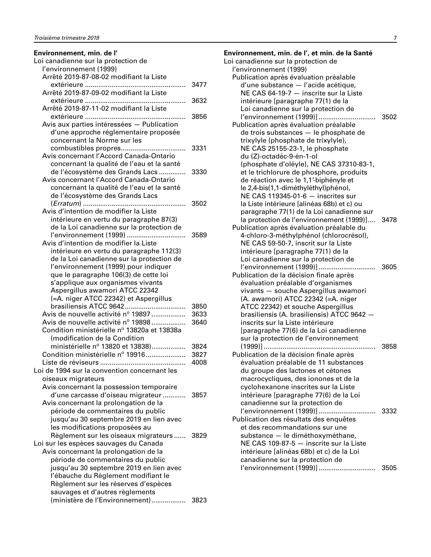## **Environnement, min. de l'**

| Loi canadienne sur la protection de          |      |
|----------------------------------------------|------|
| l'environnement (1999)                       |      |
| Arrêté 2019-87-08-02 modifiant la Liste      |      |
|                                              | 3477 |
| Arrêté 2019-87-09-02 modifiant la Liste      |      |
|                                              | 3632 |
| Arrêté 2019-87-11-02 modifiant la Liste      |      |
|                                              | 3856 |
| Avis aux parties intéressées - Publication   |      |
| d'une approche réglementaire proposée        |      |
| concernant la Norme sur les                  |      |
|                                              | 3331 |
| Avis concernant l'Accord Canada-Ontario      |      |
| concernant la qualité de l'eau et la santé   |      |
| de l'écosystème des Grands Lacs              | 3330 |
| Avis concernant l'Accord Canada-Ontario      |      |
| concernant la qualité de l'eau et la santé   |      |
| de l'écosystème des Grands Lacs              |      |
|                                              | 3502 |
| Avis d'intention de modifier la Liste        |      |
| intérieure en vertu du paragraphe 87(3)      |      |
| de la Loi canadienne sur la protection de    |      |
| l'environnement (1999)                       | 3589 |
| Avis d'intention de modifier la Liste        |      |
| intérieure en vertu du paragraphe 112(3)     |      |
| de la Loi canadienne sur la protection de    |      |
| l'environnement (1999) pour indiquer         |      |
| que le paragraphe 106(3) de cette loi        |      |
| s'applique aux organismes vivants            |      |
| Aspergillus awamori ATCC 22342               |      |
| (=A. niger ATCC 22342) et Aspergillus        |      |
| brasiliensis ATCC 9642                       | 3850 |
| Avis de nouvelle activité nº 19897           | 3633 |
| Avis de nouvelle activité nº 19898           | 3640 |
| Condition ministérielle nº 13820a et 13838a  |      |
| (modification de la Condition                |      |
| ministérielle nº 13820 et 13838)             | 3824 |
| Condition ministérielle nº 19916             | 3827 |
|                                              | 4008 |
| Loi de 1994 sur la convention concernant les |      |
| oiseaux migrateurs                           |      |
| Avis concernant la possession temporaire     |      |
| d'une carcasse d'oiseau migrateur            | 3857 |
| Avis concernant la prolongation de la        |      |
| période de commentaires du public            |      |
| jusqu'au 30 septembre 2019 en lien avec      |      |
| les modifications proposées au               |      |
| Règlement sur les oiseaux migrateurs         | 3829 |
| Loi sur les espèces sauvages du Canada       |      |
| Avis concernant la prolongation de la        |      |
| période de commentaires du public            |      |
| jusqu'au 30 septembre 2019 en lien avec      |      |
| l'ébauche du Règlement modifiant le          |      |
| Règlement sur les réserves d'espèces         |      |
| sauvages et d'autres règlements              |      |
| (ministère de l'Environnement)               | 3823 |
|                                              |      |

| Environnement, min. de l', et min. de la Santé                             |      |
|----------------------------------------------------------------------------|------|
| Loi canadienne sur la protection de                                        |      |
| l'environnement (1999)                                                     |      |
| Publication après évaluation préalable                                     |      |
| d'une substance - l'acide acétique,                                        |      |
| NE CAS 64-19-7 - inscrite sur la Liste                                     |      |
| intérieure [paragraphe 77(1) de la                                         |      |
| Loi canadienne sur la protection de                                        |      |
| l'environnement (1999)]                                                    | 3502 |
| Publication après évaluation préalable                                     |      |
| de trois substances - le phosphate de                                      |      |
| trixylyle (phosphate de trixylyle),                                        |      |
| NE CAS 25155-23-1, le phosphate                                            |      |
| du (Z)-octadéc-9-én-1-ol                                                   |      |
| (phosphate d'oléyle), NE CAS 37310-83-1,                                   |      |
| et le trichlorure de phosphore, produits                                   |      |
| de réaction avec le 1,1'-biphényle et                                      |      |
| le 2,4-bis(1,1-diméthyléthyl)phénol,                                       |      |
| NE CAS 119345-01-6 - inscrites sur                                         |      |
| la Liste intérieure [alinéas 68b) et c) ou                                 |      |
| paragraphe 77(1) de la Loi canadienne sur                                  |      |
| la protection de l'environnement (1999)]                                   | 3478 |
| Publication après évaluation préalable du                                  |      |
| 4-chloro-3-méthylphénol (chlorocrésol),                                    |      |
| NE CAS 59-50-7, inscrit sur la Liste                                       |      |
| intérieure [paragraphe 77(1) de la                                         |      |
| Loi canadienne sur la protection de                                        |      |
|                                                                            |      |
| Publication de la décision finale après                                    |      |
| évaluation préalable d'organismes                                          |      |
| vivants - souche Aspergillus awamori<br>(A. awamori) ATCC 22342 (=A. niger |      |
| ATCC 22342) et souche Aspergillus                                          |      |
| brasiliensis (A. brasiliensis) ATCC 9642 -                                 |      |
| inscrits sur la Liste intérieure                                           |      |
| [paragraphe 77(6) de la Loi canadienne                                     |      |
| sur la protection de l'environnement                                       |      |
|                                                                            | 3858 |
| Publication de la décision finale après                                    |      |
| évaluation préalable de 11 substances                                      |      |
| du groupe des lactones et cétones                                          |      |
| macrocycliques, des ionones et de la                                       |      |
| cyclohexanone inscrites sur la Liste                                       |      |
| intérieure [paragraphe 77(6) de la Loi                                     |      |
| canadienne sur la protection de                                            |      |
| l'environnement (1999)]                                                    | 3332 |
| Publication des résultats des enquêtes                                     |      |
| et des recommandations sur une                                             |      |
| substance - le diméthoxyméthane,                                           |      |
| NE CAS 109-87-5 - inscrite sur la Liste                                    |      |
| intérieure [alinéas 68b) et c) de la Loi                                   |      |
| canadienne sur la protection de                                            |      |
| l'environnement (1999)]                                                    | 3505 |
|                                                                            |      |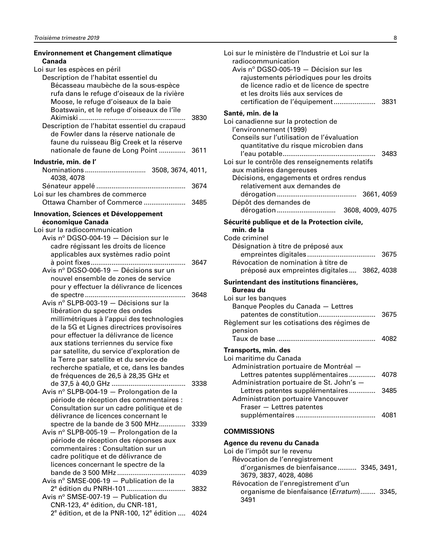<span id="page-9-0"></span>

| <b>Environnement et Changement climatique</b><br>Canada                               |        |
|---------------------------------------------------------------------------------------|--------|
| Loi sur les espèces en péril                                                          |        |
| Description de l'habitat essentiel du                                                 |        |
| Bécasseau maubèche de la sous-espèce                                                  |        |
| rufa dans le refuge d'oiseaux de la rivière                                           |        |
| Moose, le refuge d'oiseaux de la baie                                                 |        |
| Boatswain, et le refuge d'oiseaux de l'île                                            |        |
|                                                                                       | 3830   |
| Description de l'habitat essentiel du crapaud                                         |        |
| de Fowler dans la réserve nationale de                                                |        |
| faune du ruisseau Big Creek et la réserve                                             |        |
| nationale de faune de Long Point                                                      | - 3611 |
| Industrie, min. de l'                                                                 |        |
|                                                                                       |        |
| 4038, 4078                                                                            |        |
|                                                                                       | 3674   |
| Loi sur les chambres de commerce                                                      |        |
|                                                                                       |        |
|                                                                                       |        |
| <b>Innovation, Sciences et Développement</b>                                          |        |
| économique Canada                                                                     |        |
| Loi sur la radiocommunication                                                         |        |
| Avis nº DGSO-004-19 - Décision sur le                                                 |        |
| cadre régissant les droits de licence                                                 |        |
| applicables aux systèmes radio point                                                  |        |
|                                                                                       | 3647   |
| Avis nº DGSO-006-19 - Décisions sur un                                                |        |
| nouvel ensemble de zones de service                                                   |        |
| pour y effectuer la délivrance de licences                                            |        |
| Avis nº SLPB-003-19 - Décisions sur la                                                | 3648   |
|                                                                                       |        |
| libération du spectre des ondes                                                       |        |
| millimétriques à l'appui des technologies                                             |        |
| de la 5G et Lignes directrices provisoires<br>pour effectuer la délivrance de licence |        |
| aux stations terriennes du service fixe                                               |        |
| par satellite, du service d'exploration de                                            |        |
| la Terre par satellite et du service de                                               |        |
| recherche spatiale, et ce, dans les bandes                                            |        |
| de fréquences de 26,5 à 28,35 GHz et                                                  |        |
|                                                                                       | 3338   |
| Avis nº SLPB-004-19 - Prolongation de la                                              |        |
| période de réception des commentaires :                                               |        |
| Consultation sur un cadre politique et de                                             |        |
| délivrance de licences concernant le                                                  |        |
| spectre de la bande de 3 500 MHz                                                      | 3339   |
| Avis nº SLPB-005-19 - Prolongation de la                                              |        |
| période de réception des réponses aux                                                 |        |
| commentaires : Consultation sur un                                                    |        |
| cadre politique et de délivrance de                                                   |        |
| licences concernant le spectre de la                                                  |        |
| bande de 3 500 MHz                                                                    | 4039   |
| Avis nº SMSE-006-19 - Publication de la                                               |        |
| 2 <sup>e</sup> édition du PNRH-101                                                    | 3832   |
| Avis nº SMSE-007-19 - Publication du                                                  |        |
| CNR-123, 4 <sup>e</sup> édition, du CNR-181,                                          |        |
| $2^e$ édition, et de la PNR-100, 12 $^e$ édition  4024                                |        |

| Loi sur le ministère de l'Industrie et Loi sur la<br>radiocommunication<br>Avis nº DGSO-005-19 - Décision sur les<br>rajustements périodiques pour les droits<br>de licence radio et de licence de spectre<br>et les droits liés aux services de |  |
|--------------------------------------------------------------------------------------------------------------------------------------------------------------------------------------------------------------------------------------------------|--|
| Santé, min. de la                                                                                                                                                                                                                                |  |
| Loi canadienne sur la protection de<br>l'environnement (1999)<br>Conseils sur l'utilisation de l'évaluation<br>quantitative du risque microbien dans<br>3483                                                                                     |  |
| Loi sur le contrôle des renseignements relatifs<br>aux matières dangereuses                                                                                                                                                                      |  |
| Décisions, engagements et ordres rendus<br>relativement aux demandes de                                                                                                                                                                          |  |
| Dépôt des demandes de                                                                                                                                                                                                                            |  |
|                                                                                                                                                                                                                                                  |  |
| Sécurité publique et de la Protection civile,                                                                                                                                                                                                    |  |
| min. de la<br>Code criminel                                                                                                                                                                                                                      |  |
| Désignation à titre de préposé aux<br>Révocation de nomination à titre de<br>préposé aux empreintes digitales  3862, 4038                                                                                                                        |  |
|                                                                                                                                                                                                                                                  |  |
| Surintendant des institutions financières,<br>Bureau du                                                                                                                                                                                          |  |
| Loi sur les banques<br>Banque Peoples du Canada - Lettres                                                                                                                                                                                        |  |
| patentes de constitution<br>3675<br>$\cdots$<br>Règlement sur les cotisations des régimes de<br>pension                                                                                                                                          |  |
| 4082                                                                                                                                                                                                                                             |  |
| Transports, min. des<br>Loi maritime du Canada<br>Administration portuaire de Montréal -                                                                                                                                                         |  |
| Lettres patentes supplémentaires<br>4078<br>Administration portuaire de St. John's -                                                                                                                                                             |  |
| Lettres patentes supplémentaires<br>3485<br><b>Administration portuaire Vancouver</b><br>Fraser - Lettres patentes                                                                                                                               |  |
| 4081                                                                                                                                                                                                                                             |  |
| <b>COMMISSIONS</b>                                                                                                                                                                                                                               |  |
| Agence du revenu du Canada                                                                                                                                                                                                                       |  |
| Loi de l'impôt sur le revenu                                                                                                                                                                                                                     |  |
| Révocation de l'enregistrement<br>d'organismes de bienfaisance 3345, 3491,                                                                                                                                                                       |  |

3679, 3837, 4028, 4086 Révocation de l'enregistrement d'un organisme de bienfaisance (*Erratum*)........ 3345, 3491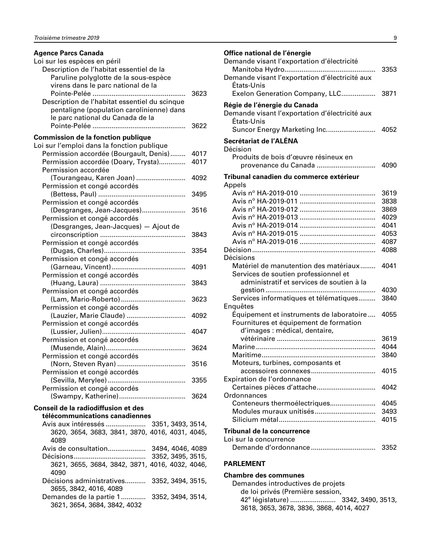<span id="page-10-0"></span>

| <b>Agence Parcs Canada</b>                      |      |
|-------------------------------------------------|------|
| Loi sur les espèces en péril                    |      |
| Description de l'habitat essentiel de la        |      |
| Paruline polyglotte de la sous-espèce           |      |
| virens dans le parc national de la              |      |
|                                                 | 3623 |
| Description de l'habitat essentiel du scinque   |      |
| pentaligne (population carolinienne) dans       |      |
| le parc national du Canada de la                |      |
|                                                 | 3622 |
|                                                 |      |
| <b>Commission de la fonction publique</b>       |      |
| Loi sur l'emploi dans la fonction publique      |      |
| Permission accordée (Bourgault, Denis)          | 4017 |
| Permission accordée (Doary, Trysta)             | 4017 |
| Permission accordée                             |      |
| (Tourangeau, Karen Joan)                        | 4092 |
| Permission et congé accordés                    |      |
|                                                 | 3495 |
| Permission et congé accordés                    |      |
| (Desgranges, Jean-Jacques)                      | 3516 |
| Permission et congé accordés                    |      |
| (Desgranges, Jean-Jacques) - Ajout de           |      |
|                                                 | 3843 |
| Permission et congé accordés                    |      |
|                                                 | 3354 |
| Permission et congé accordés                    |      |
|                                                 | 4091 |
| Permission et congé accordés                    |      |
|                                                 | 3843 |
| Permission et congé accordés                    |      |
| (Lam, Mario-Roberto)                            | 3623 |
| Permission et congé accordés                    |      |
| (Lauzier, Marie Claude)                         | 4092 |
| Permission et congé accordés                    |      |
|                                                 | 4047 |
| Permission et congé accordés                    |      |
|                                                 | 3624 |
| Permission et congé accordés                    |      |
|                                                 | 3516 |
|                                                 |      |
| Permission et congé accordés                    |      |
| Permission et congé accordés                    |      |
|                                                 |      |
|                                                 |      |
| Conseil de la radiodiffusion et des             |      |
| télécommunications canadiennes                  |      |
| Avis aux intéressés  3351, 3493, 3514,          |      |
| 3620, 3654, 3683, 3841, 3870, 4016, 4031, 4045, |      |
| 4089                                            |      |
|                                                 |      |
| Décisions                                       |      |
| 3621, 3655, 3684, 3842, 3871, 4016, 4032, 4046, |      |
| 4090                                            |      |
| Décisions administratives<br>3352, 3494, 3515,  |      |
| 3655, 3842, 4016, 4089                          |      |
| Demandes de la partie 1<br>3352, 3494, 3514,    |      |
| 3621, 3654, 3684, 3842, 4032                    |      |

#### **Office national de l'énergie** Demande visant l'exportation d'électricité Manitoba Hydro................................................ 3353 Demande visant l'exportation d'électricité aux États-Unis Exelon Generation Company, LLC.................. 3871 **Régie de l'énergie du Canada** Demande visant l'exportation d'électricité aux États-Unis Suncor Energy Marketing Inc.......................... 4052

| 97 INGLINO CITIST ILLOI                                      |              |
|--------------------------------------------------------------|--------------|
| Secrétariat de l'ALÉNA<br>Décision                           |              |
| Produits de bois d'œuvre résineux en<br>provenance du Canada | 4090         |
| Tribunal canadien du commerce extérieur                      |              |
| Appels                                                       |              |
|                                                              | 3619         |
|                                                              | 3838         |
|                                                              | 3869         |
|                                                              | 4029         |
|                                                              | 4041         |
|                                                              | 4053         |
|                                                              | 4087         |
|                                                              | 4088         |
| Décisions                                                    |              |
| Matériel de manutention des matériaux                        | 4041         |
| Services de soutien professionnel et                         |              |
| administratif et services de soutien à la                    |              |
|                                                              | 4030         |
| Services informatiques et télématiques                       | 3840         |
| Enquêtes                                                     |              |
| Équipement et instruments de laboratoire                     | 4055         |
| Fournitures et équipement de formation                       |              |
| d'images : médical, dentaire,                                |              |
|                                                              | 3619         |
|                                                              | 4044         |
|                                                              | 3840         |
| Moteurs, turbines, composants et                             |              |
|                                                              | 4015         |
| Expiration de l'ordonnance                                   | 4042         |
| Certaines pièces d'attache                                   |              |
| Ordonnances                                                  |              |
| Conteneurs thermoélectriques                                 | 4045<br>3493 |
|                                                              | 4015         |
|                                                              |              |
|                                                              |              |

#### **Tribunal de la concurrence**

| Loi sur la concurrence |      |
|------------------------|------|
|                        | 3352 |

#### **PARLEMENT**

**Chambre des communes** Demandes introductives de projets de loi privés (Première session, 42<sup>e</sup> législature) ........................... 3342, 3490, 3513, 3618, 3653, 3678, 3836, 3868, 4014, 4027